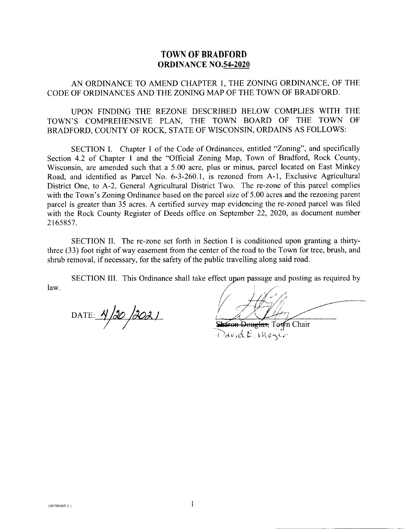## TOWN OF BRADFORD ORDINANCE NO.54-2020

AN ORDINANCE TO AMEND CHAPTER I, THE ZONING ORDINANCE. OF THE CODE OF ORDINANCES AND THE ZONING MAP OF THE TOWN OF BRADFORD.

UPON FINDING THE REZONE DESCRIBED BELOW COMPLIES WITH THE TOWN'S COMPREHENSIVE PLAN, THE TOWN BOARD OF THE TOWN OF BRADFORD, COUNTY OF ROCK, STATE OF WISCONSIN, ORDAINS AS FOLLOWS:

SECTION I. Chapter I of the Code of Ordinances, entitled "Zoning", and specifically Section 4.2 of Chapter I and the "Official Zoning Map, Town of Bradford, Rock County, Wisconsin, are amended such that a 5.00 acre, plus or minus, parcel located on East Minkey Road, and identified as Parcel No. 6-3-260.1, is rezoned from A-1, Exclusive Agricultural District One, to A-2, General Agricultural District Two. The re-zone of this parcel complies with the Town's Zoning Ordinance based on the parcel size of 5.00 acres and the rezoning parent parcel is greater than 35 acres. A certified survey map evidencing the re-zoned parcel was filed with the Rock County Register of Deeds office on September 22, 2020, as document number 2165857.

SECTION II. The re-zone set forth in Section I is conditioned upon granting a thirtythree (33) foot right of way easement from the center of the road to the Town for tree, brush, and shrub removal, if necessary, for the safety of the public travelling along said road.

SECTION III. This Ordinance shall take effect upon passage and posting as required by  $\frac{1}{2}$  law.

DATE:  $4/20/2021$ 

 $D$ Avid $E$ , Wege,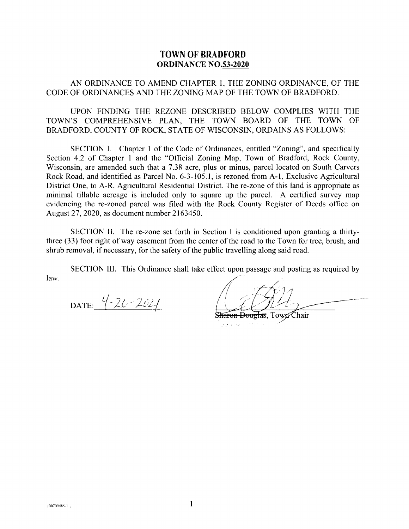## TOWN OF BRADFORD ORDINANCE NO.53.2020

AN ORDINANCE TO AMEND CHAPTER I, THE ZONING ORDINANCE, OF THE CODE OF ORDINANCES AND THE ZONTNG MAP OF THE TOWN OF BRADFORD.

UPON FINDING THE REZONE DESCRIBED BELOW COMPLIES WITH THE TOWN'S COMPREHENSIVE PLAN. THE TOWN BOARD OF THE TOWN OF BRADFORD. COUNTY OF ROCK, STATE OF WISCONSIN, ORDAINS AS FOLLOWS:

SECTION I. Chapter 1 of the Code of Ordinances, entitled "Zoning", and specifically Section 4.2 of Chapter I and the "Official Zoning Map, Town of Bradford, Rock County, Wisconsin, are amended such that a 7.38 acre, plus or minus, parcel located on South Carvers Rock Road, and identified as Parcel No. 6-3-105.1, is rezoned from A-1, Exclusive Agricultural District One, to A-R, Agricultural Residential District. The re-zone of this land is appropriate as minimal tillable acreage is included only to square up the parcel. A certified survey map evidencing the re-zoned parcel was filed with the Rock County Register of Deeds office on August 27,2020, as document number 2163450.

SECTION II. The re-zone set forth in Section I is conditioned upon granting a thirtythree (33) foot right of way easement from the center of the road to the Town for tree, brush, and shrub removal. if necessary, for the safety of the public travelling along said road.

SECTION III. This Ordinance shall take effect upon passage and posting as required by law.

DATE:  $4 - 20 - 202$ 

Sharon Douglas, Town Chair  $\mathcal{A}_{\mathcal{A}}$